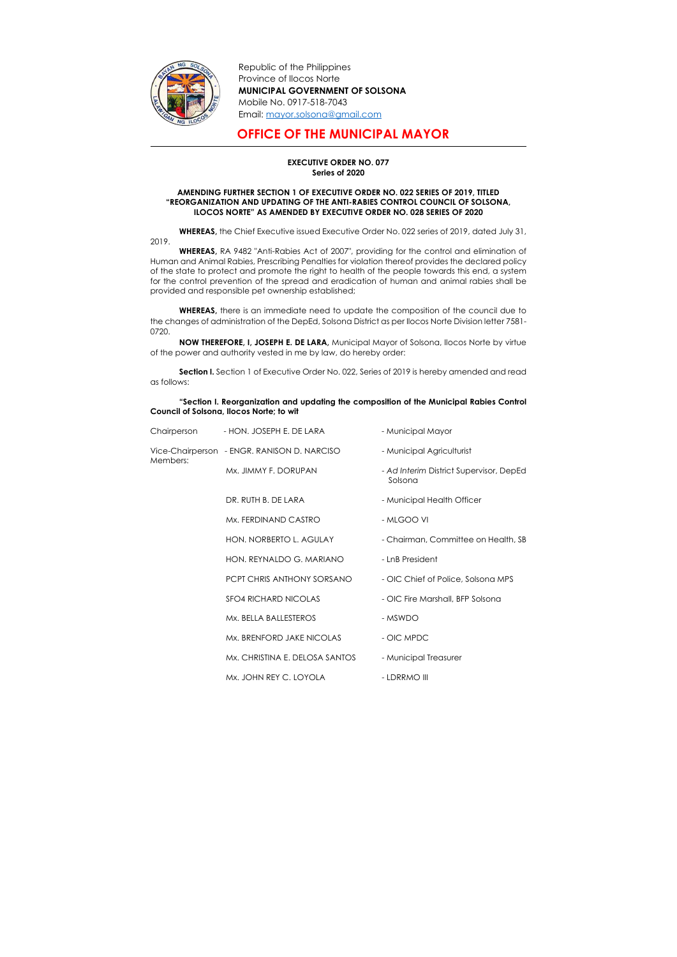Republic of the Philippines Province of Ilocos Norte MUNICIPAL GOVERNMENT OF SOLSONA Mobile No. 0917-518-7043 Email: mayor.solsona@gmail.com

## OFFICE OF THE MUNICIPAL MAYOR

## EXECUTIVE ORDER NO. 077 Series of 2020

## AMENDING FURTHER SECTION 1 OF EXECUTIVE ORDER NO. 022 SERIES OF 2019, TITLED "REORGANIZATION AND UPDATING OF THE ANTI-RABIES CONTROL COUNCIL OF SOLSONA, ILOCOS NORTE" AS AMENDED BY EXECUTIVE ORDER NO. 028 SERIES OF 2020

WHEREAS, the Chief Executive issued Executive Order No. 022 series of 2019, dated July 31,



2019.

Section I. Section 1 of Executive Order No. 022, Series of 2019 is hereby amended and read as follows:

WHEREAS, RA 9482 "Anti-Rabies Act of 2007", providing for the control and elimination of Human and Animal Rabies, Prescribing Penalties for violation thereof provides the declared policy of the state to protect and promote the right to health of the people towards this end, a system for the control prevention of the spread and eradication of human and animal rabies shall be provided and responsible pet ownership established;

WHEREAS, there is an immediate need to update the composition of the council due to the changes of administration of the DepEd, Solsona District as per Ilocos Norte Division letter 7581- 0720.

NOW THEREFORE, I, JOSEPH E. DE LARA, Municipal Mayor of Solsona, Ilocos Norte by virtue of the power and authority vested in me by law, do hereby order:

## "Section I. Reorganization and updating the composition of the Municipal Rabies Control Council of Solsona, Ilocos Norte; to wit

| Chairperson | - HON. JOSEPH E. DE LARA                    | - Municipal Mayor                                  |
|-------------|---------------------------------------------|----------------------------------------------------|
| Members:    | Vice-Chairperson - ENGR. RANISON D. NARCISO | - Municipal Agriculturist                          |
|             | Mx. JIMMY F. DORUPAN                        | - Ad Interim District Supervisor, DepEd<br>Solsona |
|             | DR. RUTH B. DE LARA                         | - Municipal Health Officer                         |
|             | Mx. FERDINAND CASTRO                        | - MLGOO VI                                         |
|             | HON. NORBERTO L. AGULAY                     | - Chairman, Committee on Health, SB                |
|             | HON, REYNALDO G. MARIANO                    | - LnB President                                    |
|             | PCPT CHRIS ANTHONY SORSANO                  | - OIC Chief of Police, Solsona MPS                 |
|             | <b>SFO4 RICHARD NICOLAS</b>                 | - OIC Fire Marshall, BFP Solsona                   |
|             | Mx. BELLA BALLESTEROS                       | - MSWDO                                            |
|             | Mx. BRENFORD JAKE NICOLAS                   | - OIC MPDC                                         |
|             | Mx. CHRISTINA E. DELOSA SANTOS              | - Municipal Treasurer                              |
|             | Mx. JOHN REY C. LOYOLA                      | - LDRRMO III                                       |